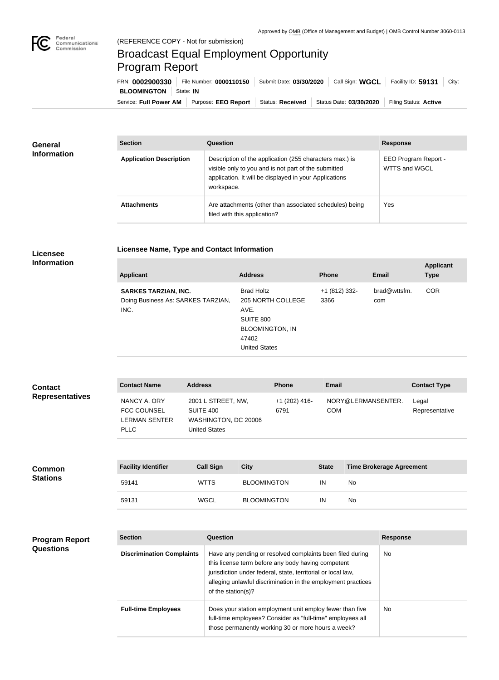

п

## Broadcast Equal Employment Opportunity Program Report

**Licensee Name, Type and Contact Information**

Service: Full Power AM | Purpose: EEO Report | Status: Received | Status Date: 03/30/2020 | Filing Status: Active **BLOOMINGTON** State: IN FRN: **0002900330** File Number: **0000110150** Submit Date: **03/30/2020** Call Sign: **WGCL** Facility ID: **59131** City:

| <b>General</b><br><b>Information</b> | <b>Section</b>                 | <b>Question</b>                                                                                                                                                                         | <b>Response</b>                       |
|--------------------------------------|--------------------------------|-----------------------------------------------------------------------------------------------------------------------------------------------------------------------------------------|---------------------------------------|
|                                      | <b>Application Description</b> | Description of the application (255 characters max.) is<br>visible only to you and is not part of the submitted<br>application. It will be displayed in your Applications<br>workspace. | EEO Program Report -<br>WTTS and WGCL |
|                                      | <b>Attachments</b>             | Are attachments (other than associated schedules) being<br>filed with this application?                                                                                                 | Yes                                   |

## **Licensee Information**

| <b>Applicant</b>                                                          | <b>Address</b>                                                                                                                | <b>Phone</b>          | <b>Email</b>        | <b>Applicant</b><br><b>Type</b> |
|---------------------------------------------------------------------------|-------------------------------------------------------------------------------------------------------------------------------|-----------------------|---------------------|---------------------------------|
| <b>SARKES TARZIAN, INC.</b><br>Doing Business As: SARKES TARZIAN,<br>INC. | <b>Brad Holtz</b><br>205 NORTH COLLEGE<br>AVE.<br><b>SUITE 800</b><br><b>BLOOMINGTON, IN</b><br>47402<br><b>United States</b> | +1 (812) 332-<br>3366 | brad@wttsfm.<br>com | <b>COR</b>                      |

| <b>Contact</b>         | <b>Contact Name</b>                                                | <b>Address</b>                                                                  | <b>Phone</b>          | Email                            | <b>Contact Type</b>     |
|------------------------|--------------------------------------------------------------------|---------------------------------------------------------------------------------|-----------------------|----------------------------------|-------------------------|
| <b>Representatives</b> | NANCY A. ORY<br><b>FCC COUNSEL</b><br>LERMAN SENTER<br><b>PLLC</b> | 2001 L STREET, NW,<br>SUITE 400<br>WASHINGTON, DC 20006<br><b>United States</b> | +1 (202) 416-<br>6791 | NORY@LERMANSENTER.<br><b>COM</b> | Legal<br>Representative |

| <b>Common</b><br><b>Stations</b> | <b>Facility Identifier</b> | <b>Call Sign</b> | City               | <b>State</b> | <b>Time Brokerage Agreement</b> |
|----------------------------------|----------------------------|------------------|--------------------|--------------|---------------------------------|
|                                  | 59141                      | <b>WTTS</b>      | <b>BLOOMINGTON</b> | IN           | No                              |
|                                  | 59131                      | <b>WGCL</b>      | <b>BLOOMINGTON</b> | IN           | No                              |

| <b>Program Report</b><br><b>Questions</b> | <b>Section</b>                   | Question                                                                                                                                                                                                                                                              | <b>Response</b> |
|-------------------------------------------|----------------------------------|-----------------------------------------------------------------------------------------------------------------------------------------------------------------------------------------------------------------------------------------------------------------------|-----------------|
|                                           | <b>Discrimination Complaints</b> | Have any pending or resolved complaints been filed during<br>this license term before any body having competent<br>jurisdiction under federal, state, territorial or local law,<br>alleging unlawful discrimination in the employment practices<br>of the station(s)? | No.             |
|                                           | <b>Full-time Employees</b>       | Does your station employment unit employ fewer than five<br>full-time employees? Consider as "full-time" employees all<br>those permanently working 30 or more hours a week?                                                                                          | No.             |